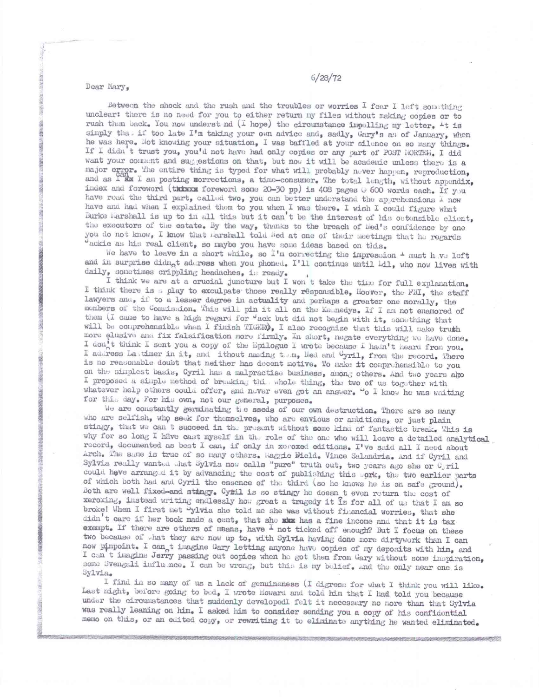Dear Mary,

4..

Between the shock and the rush and the troubles or worries I fear I left something unclear: there is no need for you to either return my files without making copies or to rush them back. You now underst nd (I hope) the circumstance impelling my letter.  $+t$  is simply that if too late I'm taking your own advice and, sadly, Gary's as of January, when he was here. Not knowing your situation, I was baffled at your silence on so many things. If I didn't trust you, you'd not have had only copies or any part of POST HORTEN. I did want your comment and suggestions on that, but now it will be academic unless there is a major error. The entire thing is typed for what will probably never happen, reproduction, and as I am I am posting sorrections, a time-consumer. The total length, without appendix, index and foreword (thisks foreword some 20-30 pp) is 408 pages  $\circ$  600 words each. If you have road the third part, called two, you can better understand the apprehensions  $I$  now have and had when I explained them to you when I was there. I wish I could figure what Burke Harshall is up to in all this but it can't be the interest of his ostensible client, the executors of the estate. By the way, thanks to the breach of lied's confidence by one you do not know, I know that **iarshall** told fied at one of their meetings that he regards dackie as his real client, so maybe you have some ideas based on this.

We have to leave in a short while, so I'm correcting the impression  $\pm$  must h.ve left and in surprise didn<sub>o</sub>t address when you phoned. I'll continue until Lil, who now lives with daily, sometimes crippling headaches, is ready.

I think we are at a crucial juncture but I won t take the time for full explanation. I think there is a play to exculpate those really responsible, Hoover, the FBI, the staff lawyers and, if to a lesser degree in actuality and perhaps a greater one morally, the members of the Commission. This will pin it all on the Keenedys. If I am not enamored of them (I came to have a high regard for 'ack but did not begin with it, something that will be comprehensible when I finish TIGER $\rho$ , I also recognize that this will make truth more elusive and fix falsification more firmly. In short, negate everything we have done. I don't think I sent you a copy of the Epilogue I wrote because I hadn't heard from you. I address La,timer in it, and ithout naming tam, Hed and Uyril, from the record. There is no reasonable doubt that neither has decent motive. To make it comprehensible to you on the simplest basis, Cyril has a malpractise business, among others. And two years abo I proposed a simple method of breaking this whole thing, the two of us together with whatever help others could offer, and never even got an enswer. "o I know he was waiting for thi.. day. For his own, not our general, purposes.

We are constantly germinating the sseds of our own destruction. There are so many who are selfish, who seek for themselves, who are envious or ambitions, or just plain stingy, that we can t succeed in the present without some kind of fantastic break. This is why for so long I have cast myself in the role of the one who will leave a detailed analytical record, documented as best I can, if only in xeroxed editions. I've said all I need about Arch. The same is true of so many others. Faggie Bield. Vince Salandria. And if Cyril and Sylvia really wanted .hat Sylvia now calls "pure" truth out, two years ago she or G, ril could heve arranged it by advancing the cost of publishing this .ork, the two earlier parts of which both had and Cyril the essence of the third (so he knows he is on safe ground). Both are well fixedeand stingy. Cytil is so stingy he down t even return the cost of xeroxing, instead writing endlessly how great a tragedy it is for all of us that I am so broke! When I first met "ylvia she told me she was without financial worries, that she didn't care if her book made a cent, that she ska has a fine income and that it is tax exempt. If there are others of means, have  $\frac{1}{2}$  not ticked off enough? But I focus on these two because of .hat they are now up to, with Sylvia having done more dirtywork than I can now pinpoint. I can t imagine Gary letting anyone have copies of my deposits with him, and I can t imagine Jerry passing out copies when ho got them from Gary without some inspiration, some Svengali influ noe. I can be wrong, but this is my belief. And the only near one is Sylvia.

I find in so many of us a lack of genuineness (I digress for what I think you will like. Last night, before going to bed, I wrote Howard and told him that I had told you because under the circumstances that suddenly developedl felt it necessary no more than that Sylvia 'was really leaning on him. I asked him to consider sending you a copy of his confidential memo on this, or an edited copy, or rewriting it to eliminate anything he wanted eliminated.

## 6/28/72